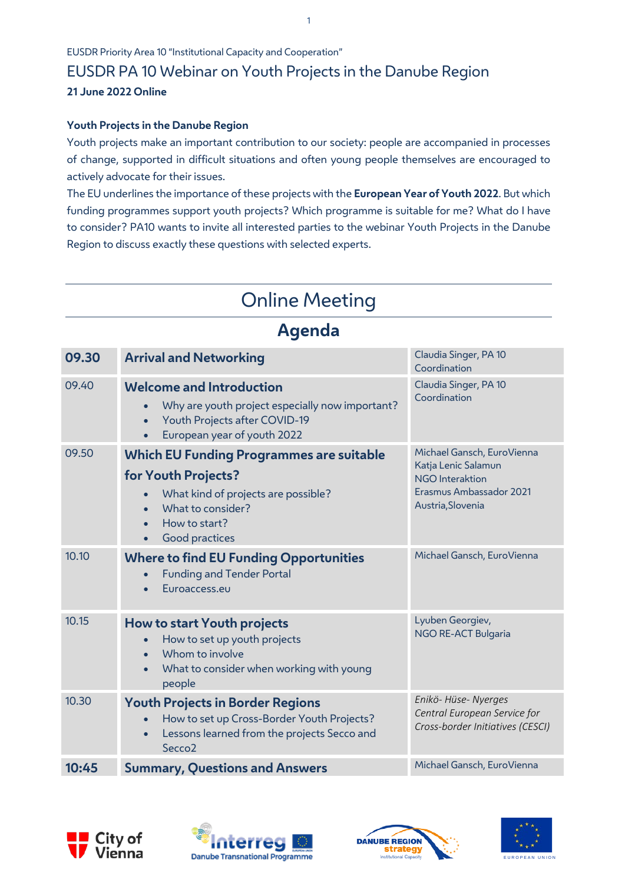EUSDR Priority Area 10 "Institutional Capacity and Cooperation"

# EUSDR PA 10 Webinar on Youth Projects in the Danube Region

## **21 June 2022 Online**

#### **Youth Projects in the Danube Region**

Youth projects make an important contribution to our society: people are accompanied in processes of change, supported in difficult situations and often young people themselves are encouraged to actively advocate for their issues.

The EU underlines the importance of these projects with the **European Year of Youth 2022**. But which funding programmes support youth projects? Which programme is suitable for me? What do I have to consider? PA10 wants to invite all interested parties to the webinar Youth Projects in the Danube Region to discuss exactly these questions with selected experts.

# Online Meeting

# **Agenda**

| 09.30 | <b>Arrival and Networking</b>                                                                                                                                   | Claudia Singer, PA 10<br>Coordination                                       |
|-------|-----------------------------------------------------------------------------------------------------------------------------------------------------------------|-----------------------------------------------------------------------------|
| 09.40 | <b>Welcome and Introduction</b><br>Why are youth project especially now important?<br>Youth Projects after COVID-19<br>European year of youth 2022<br>$\bullet$ | Claudia Singer, PA 10<br>Coordination                                       |
| 09.50 | <b>Which EU Funding Programmes are suitable</b>                                                                                                                 | Michael Gansch, EuroVienna<br>Katja Lenic Salamun<br><b>NGO</b> Interaktion |
|       | for Youth Projects?                                                                                                                                             |                                                                             |
|       | What kind of projects are possible?<br>What to consider?                                                                                                        | Erasmus Ambassador 2021<br>Austria, Slovenia                                |
|       | How to start?                                                                                                                                                   |                                                                             |
|       | Good practices                                                                                                                                                  |                                                                             |
| 10.10 | <b>Where to find EU Funding Opportunities</b><br><b>Funding and Tender Portal</b><br>Euroaccess.eu                                                              | Michael Gansch, EuroVienna                                                  |
| 10.15 | How to start Youth projects                                                                                                                                     | Lyuben Georgiev,<br><b>NGO RE-ACT Bulgaria</b>                              |
|       | How to set up youth projects<br>Whom to involve                                                                                                                 |                                                                             |
|       | What to consider when working with young<br>people                                                                                                              |                                                                             |
| 10.30 | <b>Youth Projects in Border Regions</b>                                                                                                                         | Enikö- Hüse- Nyerges<br>Central European Service for                        |
|       | How to set up Cross-Border Youth Projects?<br>Lessons learned from the projects Secco and<br>$\bullet$<br>Secco <sub>2</sub>                                    | Cross-border Initiatives (CESCI)                                            |
| 10:45 | <b>Summary, Questions and Answers</b>                                                                                                                           | Michael Gansch, EuroVienna                                                  |